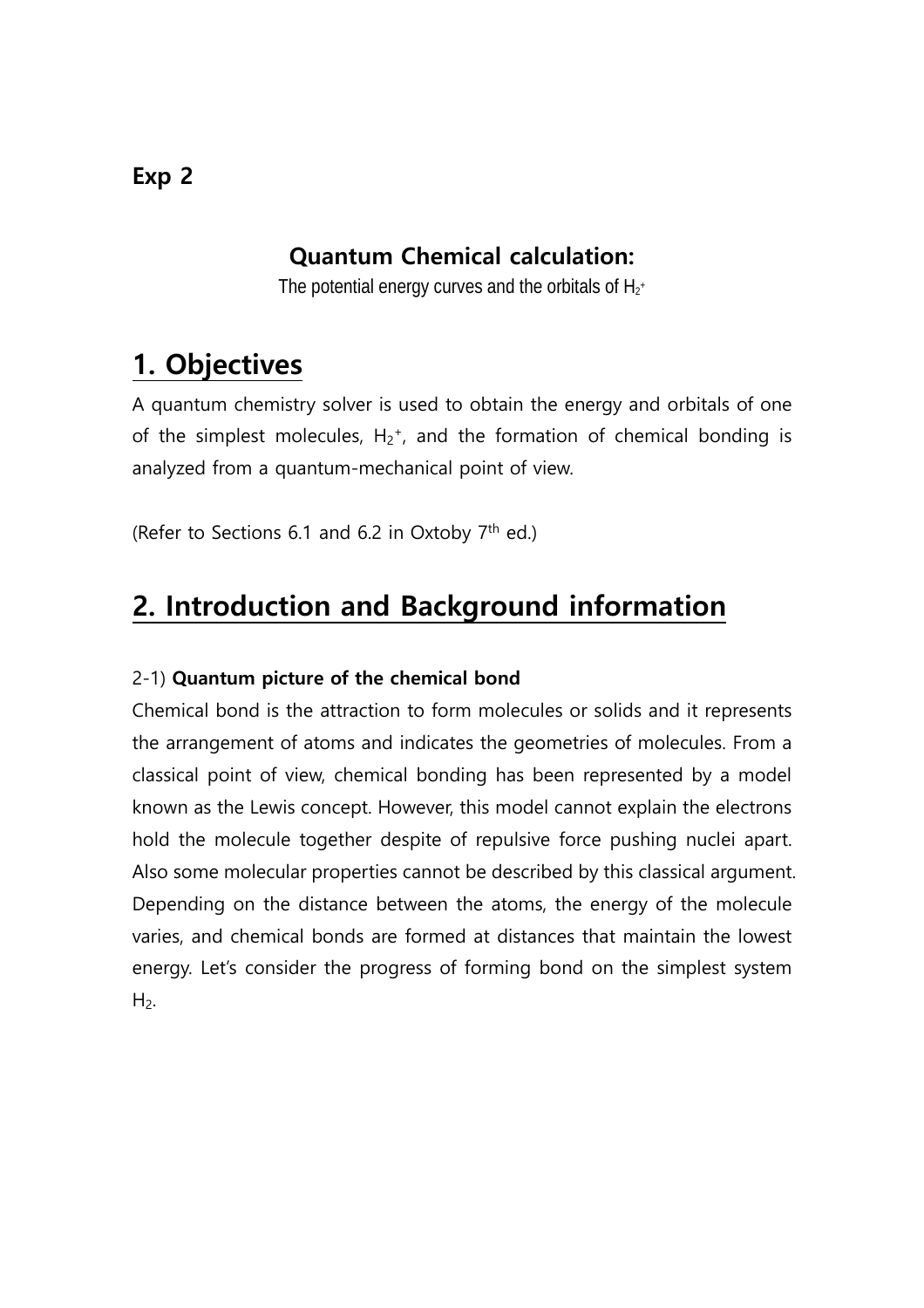## **Quantum Chemical calculation:**

The potential energy curves and the orbitals of  ${\sf H}_{\scriptscriptstyle 2^+}$ 

# **1. Objectives**

A quantum chemistry solver is used to obtain the energy and orbitals of one of the simplest molecules,  $H_2$ <sup>+</sup>, and the formation of chemical bonding is analyzed from a quantum-mechanical point of view.

(Refer to Sections 6.1 and 6.2 in Oxtoby  $7<sup>th</sup>$  ed.)

# **2. Introduction and Background information**

#### 2-1) **Quantum picture of the chemical bond**

Chemical bond is the attraction to form molecules or solids and it represents the arrangement of atoms and indicates the geometries of molecules. From a classical point of view, chemical bonding has been represented by a model known as the Lewis concept. However, this model cannot explain the electrons hold the molecule together despite of repulsive force pushing nuclei apart. Also some molecular properties cannot be described by this classical argument. Depending on the distance between the atoms, the energy of the molecule varies, and chemical bonds are formed at distances that maintain the lowest energy. Let's consider the progress of forming bond on the simplest system  $H<sub>2</sub>$ .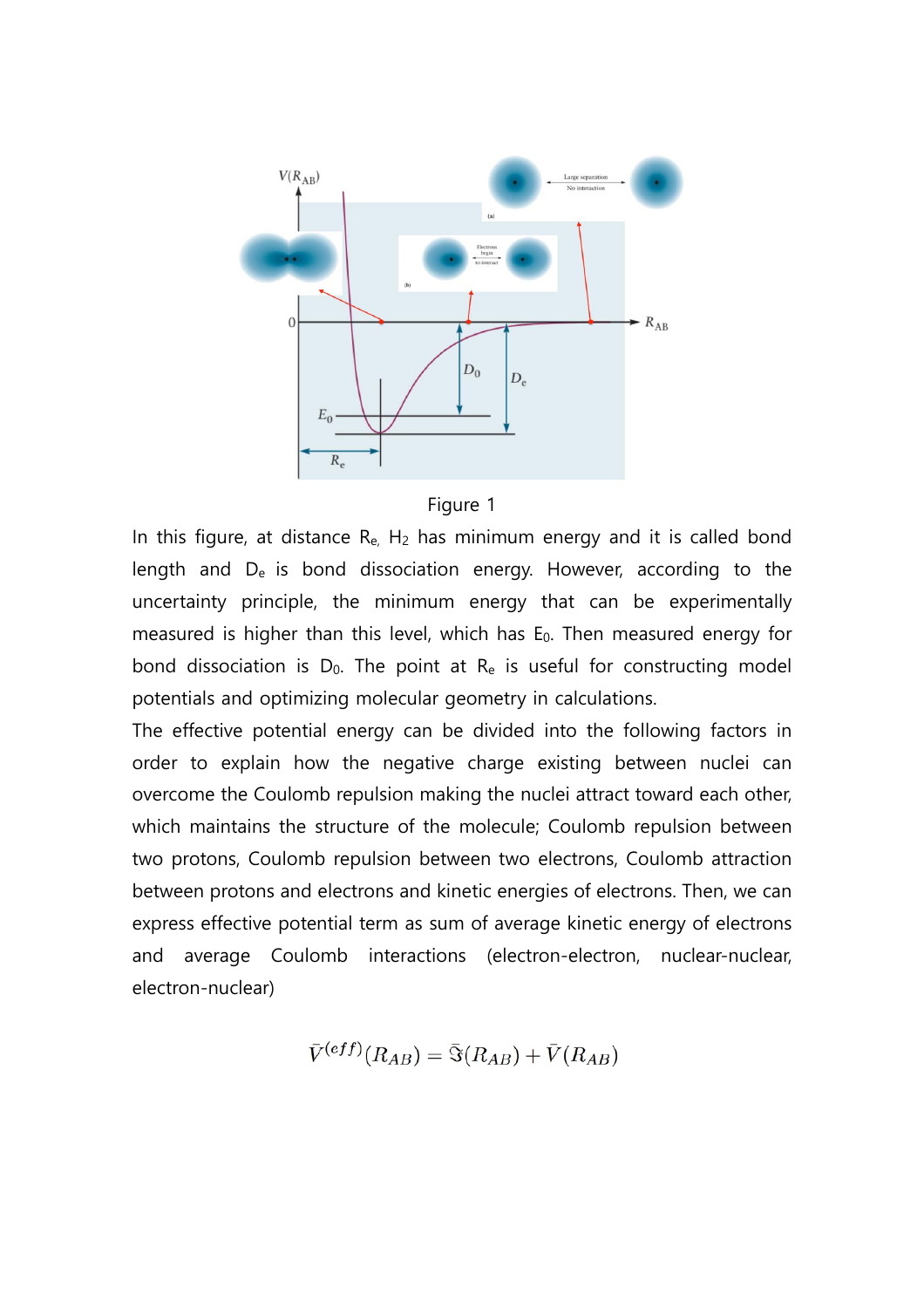



In this figure, at distance  $R_{e}$ ,  $H_2$  has minimum energy and it is called bond length and  $D_e$  is bond dissociation energy. However, according to the uncertainty principle, the minimum energy that can be experimentally measured is higher than this level, which has  $E_0$ . Then measured energy for bond dissociation is  $D_0$ . The point at  $R_e$  is useful for constructing model potentials and optimizing molecular geometry in calculations.

The effective potential energy can be divided into the following factors in order to explain how the negative charge existing between nuclei can overcome the Coulomb repulsion making the nuclei attract toward each other, which maintains the structure of the molecule; Coulomb repulsion between two protons, Coulomb repulsion between two electrons, Coulomb attraction between protons and electrons and kinetic energies of electrons. Then, we can express effective potential term as sum of average kinetic energy of electrons and average Coulomb interactions (electron-electron, nuclear-nuclear, electron-nuclear)

$$
\bar{V}^{(eff)}(R_{AB})=\bar{\Im}(R_{AB})+\bar{V}(R_{AB})
$$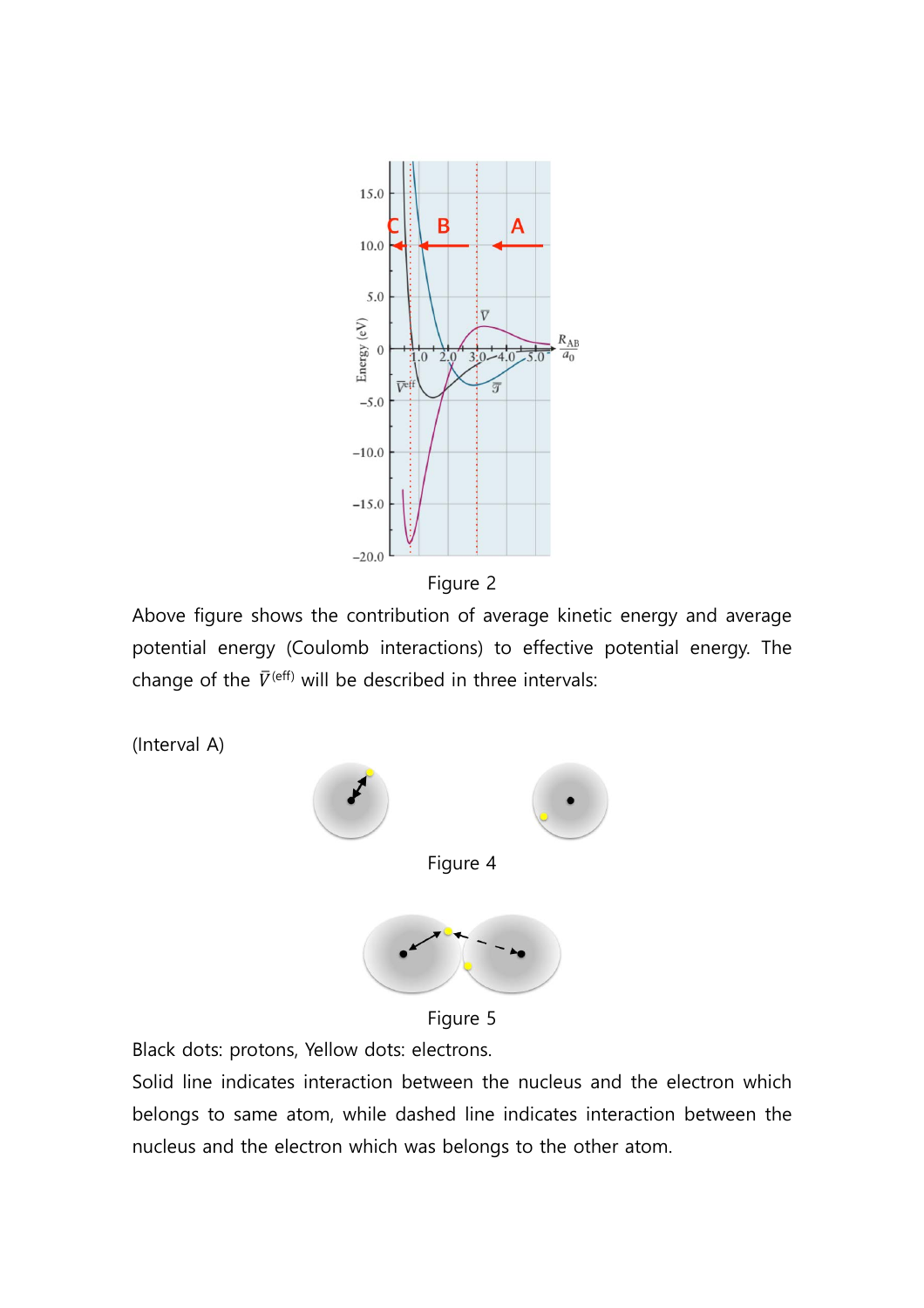

Figure 2

Above figure shows the contribution of average kinetic energy and average potential energy (Coulomb interactions) to effective potential energy. The change of the  $\bar{V}^{(eff)}$  will be described in three intervals:



Figure 5

Black dots: protons, Yellow dots: electrons.

Solid line indicates interaction between the nucleus and the electron which belongs to same atom, while dashed line indicates interaction between the nucleus and the electron which was belongs to the other atom.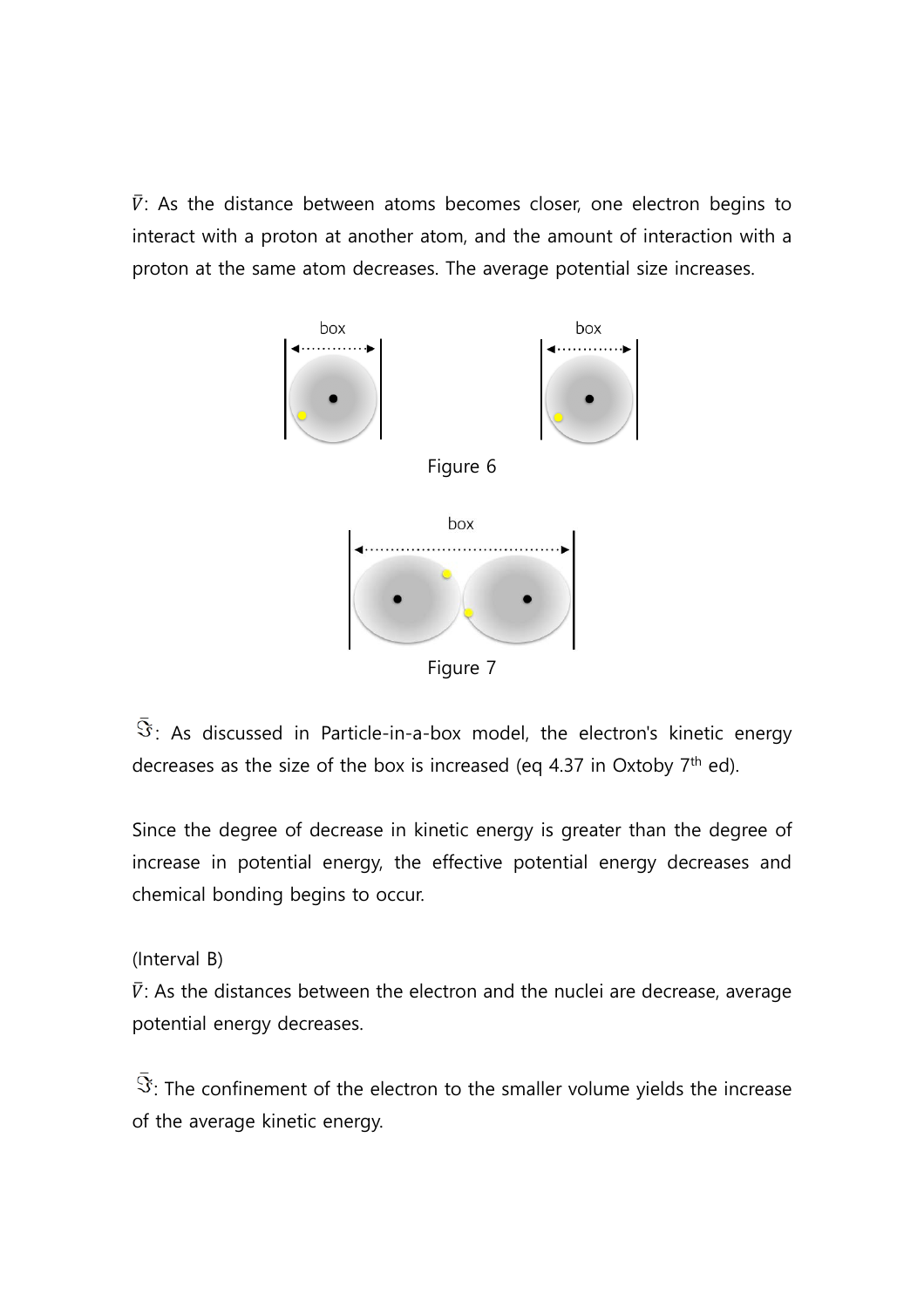$\bar{V}$ : As the distance between atoms becomes closer, one electron begins to interact with a proton at another atom, and the amount of interaction with a proton at the same atom decreases. The average potential size increases.



 $\Im$ : As discussed in Particle-in-a-box model, the electron's kinetic energy decreases as the size of the box is increased (eq 4.37 in Oxtoby  $7<sup>th</sup>$  ed).

Since the degree of decrease in kinetic energy is greater than the degree of increase in potential energy, the effective potential energy decreases and chemical bonding begins to occur.

(Interval B)

 $\bar{V}$ : As the distances between the electron and the nuclei are decrease, average potential energy decreases.

 $\bar{\Im}$ : The confinement of the electron to the smaller volume yields the increase of the average kinetic energy.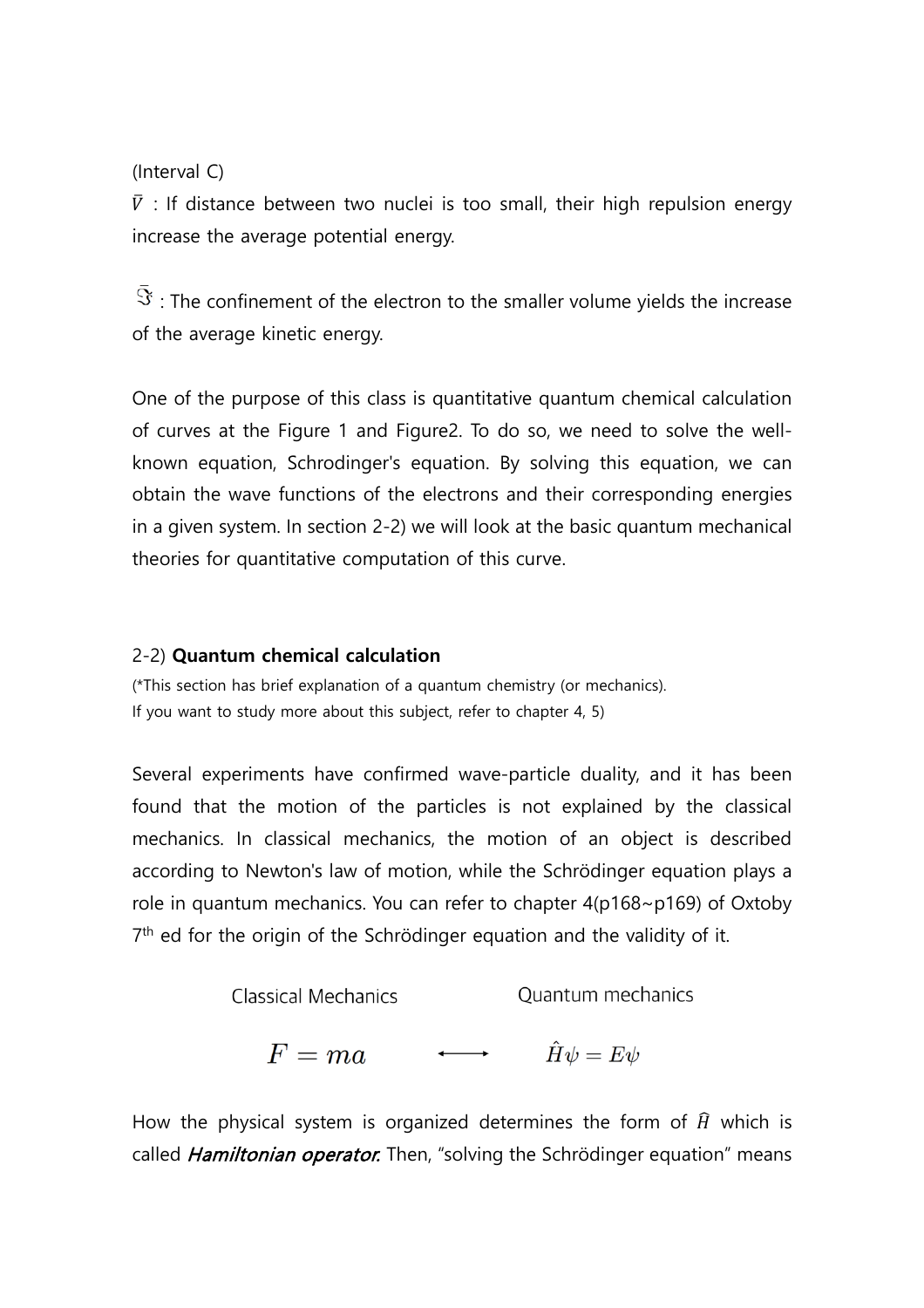(Interval C)

 $\bar{V}$  : If distance between two nuclei is too small, their high repulsion energy increase the average potential energy.

 $\bar{\Im}$ : The confinement of the electron to the smaller volume yields the increase of the average kinetic energy.

One of the purpose of this class is quantitative quantum chemical calculation of curves at the Figure 1 and Figure2. To do so, we need to solve the wellknown equation, Schrodinger's equation. By solving this equation, we can obtain the wave functions of the electrons and their corresponding energies in a given system. In section 2-2) we will look at the basic quantum mechanical theories for quantitative computation of this curve.

#### 2-2) **Quantum chemical calculation**

(\*This section has brief explanation of a quantum chemistry (or mechanics). If you want to study more about this subject, refer to chapter 4, 5)

Several experiments have confirmed wave-particle duality, and it has been found that the motion of the particles is not explained by the classical mechanics. In classical mechanics, the motion of an object is described according to Newton's law of motion, while the Schrödinger equation plays a role in quantum mechanics. You can refer to chapter  $4(p168 \sim p169)$  of Oxtoby 7<sup>th</sup> ed for the origin of the Schrödinger equation and the validity of it.

Classical Mechanics

\n
$$
F = ma \qquad \qquad \longleftrightarrow \qquad \hat{H}\psi = E\psi
$$

How the physical system is organized determines the form of  $\hat{H}$  which is called *Hamiltonian operator*. Then, "solving the Schrödinger equation" means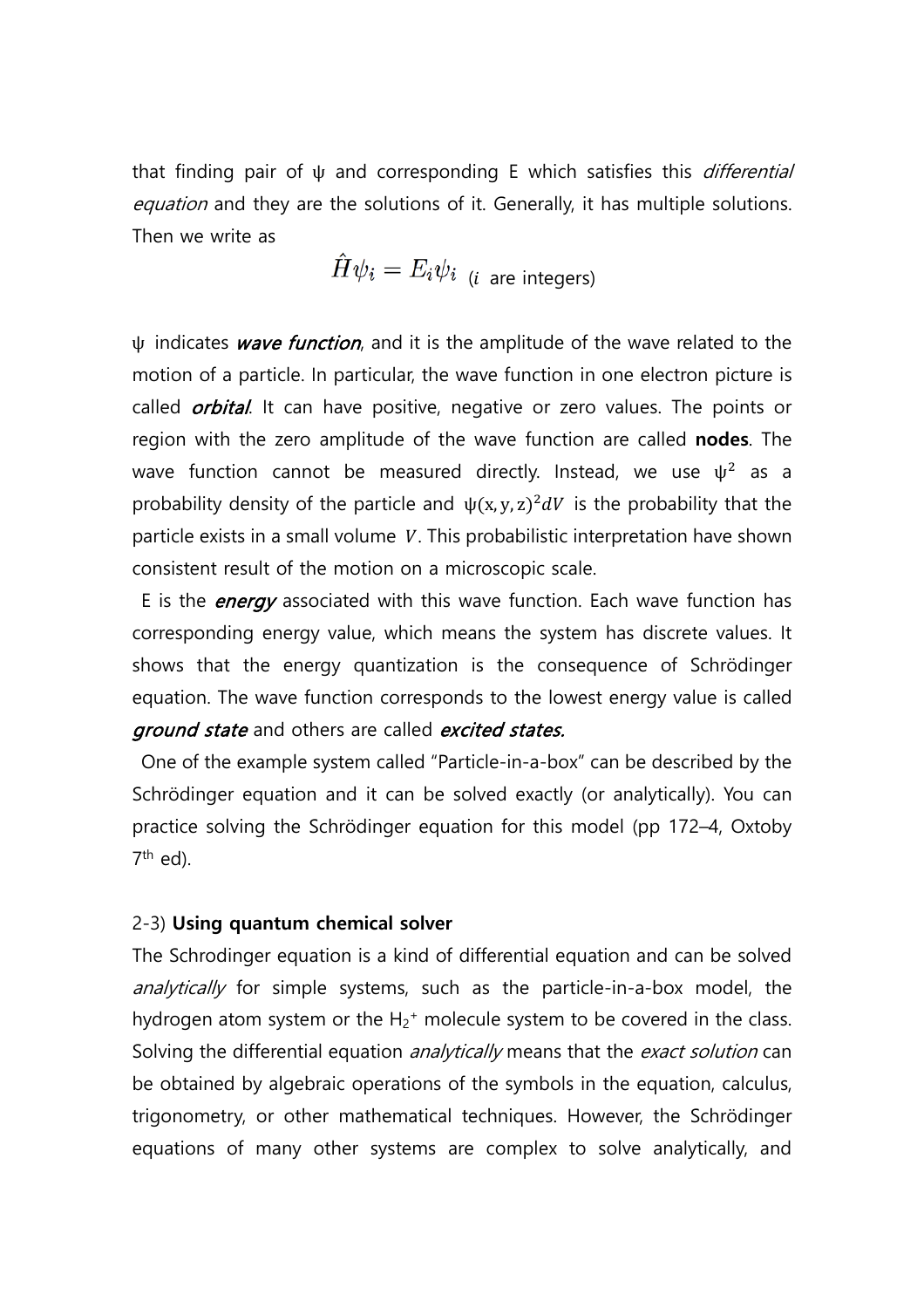that finding pair of  $\psi$  and corresponding E which satisfies this *differential* equation and they are the solutions of it. Generally, it has multiple solutions. Then we write as

 $\hat{H}\psi_i = E_i \psi_i$  (*i* are integers)

 $\psi$  indicates *wave function*, and it is the amplitude of the wave related to the motion of a particle. In particular, the wave function in one electron picture is called *orbital*. It can have positive, negative or zero values. The points or region with the zero amplitude of the wave function are called **nodes**. The wave function cannot be measured directly. Instead, we use  $\psi^2$  as a probability density of the particle and  $\psi(x, y, z)^2 dV$  is the probability that the particle exists in a small volume  $V$ . This probabilistic interpretation have shown consistent result of the motion on a microscopic scale.

E is the *energy* associated with this wave function. Each wave function has corresponding energy value, which means the system has discrete values. It shows that the energy quantization is the consequence of Schrödinger equation. The wave function corresponds to the lowest energy value is called ground state and others are called excited states.

 One of the example system called "Particle-in-a-box" can be described by the Schrödinger equation and it can be solved exactly (or analytically). You can practice solving the Schrödinger equation for this model (pp 172–4, Oxtoby  $7<sup>th</sup>$  ed).

#### 2-3) **Using quantum chemical solver**

The Schrodinger equation is a kind of differential equation and can be solved analytically for simple systems, such as the particle-in-a-box model, the hydrogen atom system or the  $H_2$ <sup>+</sup> molecule system to be covered in the class. Solving the differential equation *analytically* means that the *exact solution* can be obtained by algebraic operations of the symbols in the equation, calculus, trigonometry, or other mathematical techniques. However, the Schrödinger equations of many other systems are complex to solve analytically, and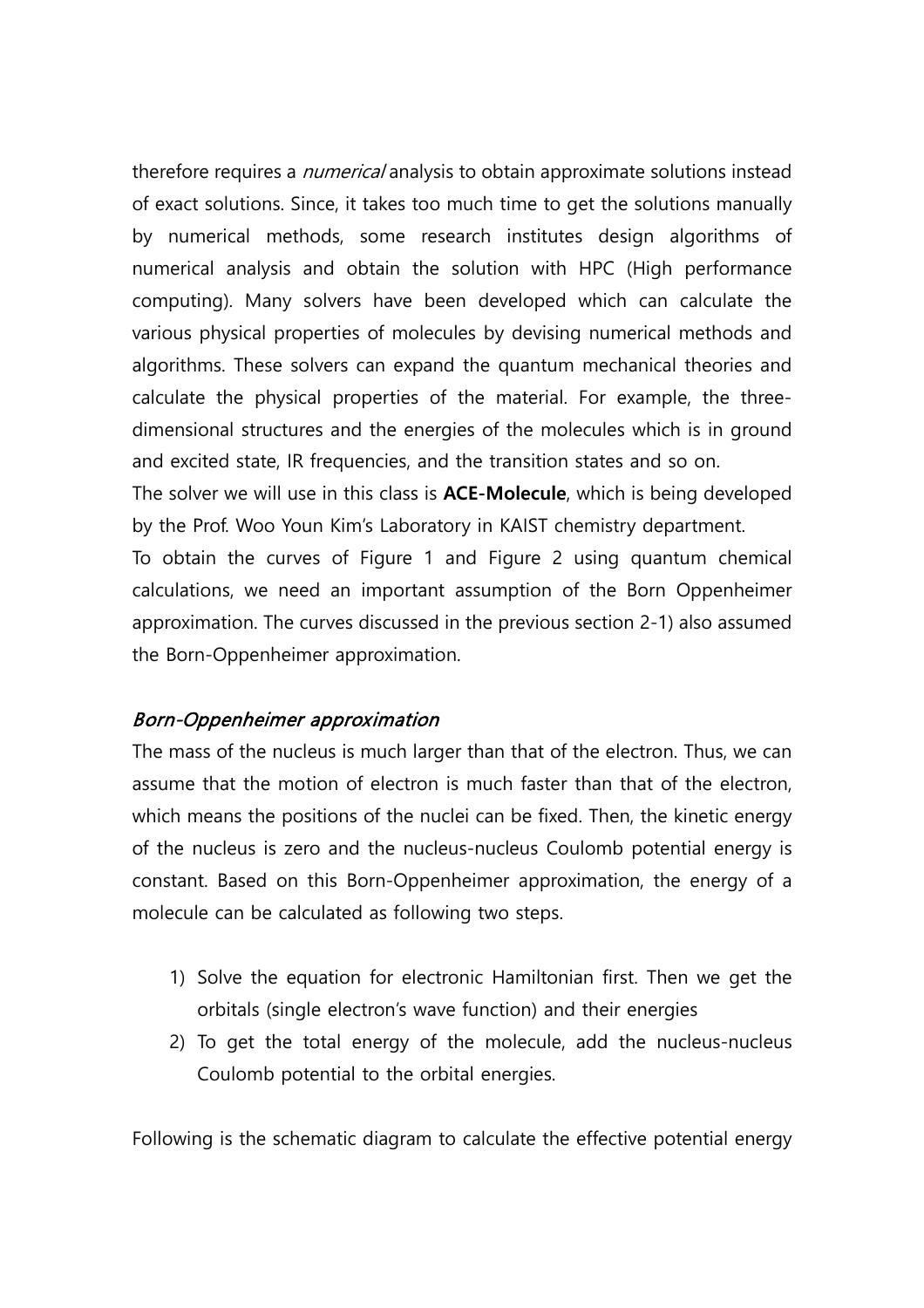therefore requires a *numerical* analysis to obtain approximate solutions instead of exact solutions. Since, it takes too much time to get the solutions manually by numerical methods, some research institutes design algorithms of numerical analysis and obtain the solution with HPC (High performance computing). Many solvers have been developed which can calculate the various physical properties of molecules by devising numerical methods and algorithms. These solvers can expand the quantum mechanical theories and calculate the physical properties of the material. For example, the threedimensional structures and the energies of the molecules which is in ground and excited state, IR frequencies, and the transition states and so on.

The solver we will use in this class is **ACE-Molecule**, which is being developed by the Prof. Woo Youn Kim's Laboratory in KAIST chemistry department.

To obtain the curves of Figure 1 and Figure 2 using quantum chemical calculations, we need an important assumption of the Born Oppenheimer approximation. The curves discussed in the previous section 2-1) also assumed the Born-Oppenheimer approximation.

#### Born-Oppenheimer approximation

The mass of the nucleus is much larger than that of the electron. Thus, we can assume that the motion of electron is much faster than that of the electron, which means the positions of the nuclei can be fixed. Then, the kinetic energy of the nucleus is zero and the nucleus-nucleus Coulomb potential energy is constant. Based on this Born-Oppenheimer approximation, the energy of a molecule can be calculated as following two steps.

- 1) Solve the equation for electronic Hamiltonian first. Then we get the orbitals (single electron's wave function) and their energies
- 2) To get the total energy of the molecule, add the nucleus-nucleus Coulomb potential to the orbital energies.

Following is the schematic diagram to calculate the effective potential energy